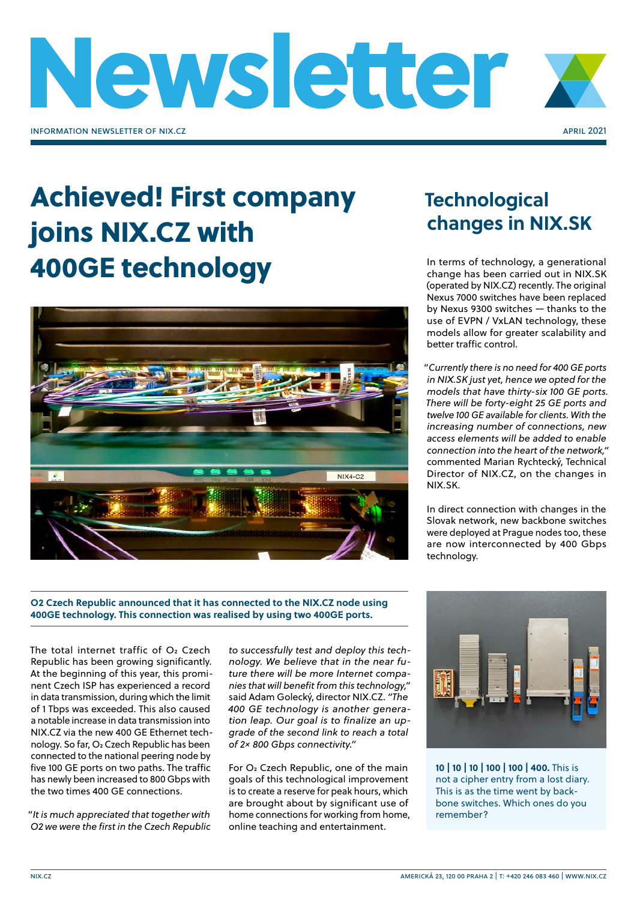

# Achieved! First company joins NIX.CZ with 400GE technology



#### **O2 Czech Republic announced that it has connected to the NIX.CZ node using 400GE technology. This connection was realised by using two 400GE ports.**

The total internet traffic of  $O<sub>2</sub>$  Czech Republic has been growing significantly. At the beginning of this year, this prominent Czech ISP has experienced a record in data transmission, during which the limit of 1 Tbps was exceeded. This also caused a notable increase in data transmission into NIX.CZ via the new 400 GE Ethernet technology. So far, O2 Czech Republic has been connected to the national peering node by five 100 GE ports on two paths. The traffic has newly been increased to 800 Gbps with the two times 400 GE connections.

"*It is much appreciated that together with O2 we were the first in the Czech Republic* 

*to successfully test and deploy this technology. We believe that in the near future there will be more Internet companies that will benefit from this technology,"* said Adam Golecký, director NIX.CZ. *"The 400 GE technology is another generation leap. Our goal is to finalize an upgrade of the second link to reach a total of 2× 800 Gbps connectivity."*

For O<sub>2</sub> Czech Republic, one of the main goals of this technological improvement is to create a reserve for peak hours, which are brought about by significant use of home connections for working from home, online teaching and entertainment.

### **Technological changes in NIX.SK**

In terms of technology, a generational change has been carried out in NIX.SK (operated by NIX.CZ) recently. The original Nexus 7000 switches have been replaced by Nexus 9300 switches — thanks to the use of EVPN / VxLAN technology, these models allow for greater scalability and better traffic control.

"*Currently there is no need for 400 GE ports in NIX.SK just yet, hence we opted for the models that have thirty-six 100 GE ports. There will be forty-eight 25 GE ports and twelve 100 GE available for clients. With the increasing number of connections, new access elements will be added to enable connection into the heart of the network,"*  commented Marian Rychtecký, Technical Director of NIX.CZ, on the changes in NIX.SK.

In direct connection with changes in the Slovak network, new backbone switches were deployed at Prague nodes too, these are now interconnected by 400 Gbps technology.



**10 | 10 | 10 | 100 | 100 | 400.** This is not a cipher entry from a lost diary. This is as the time went by backbone switches. Which ones do you remember?